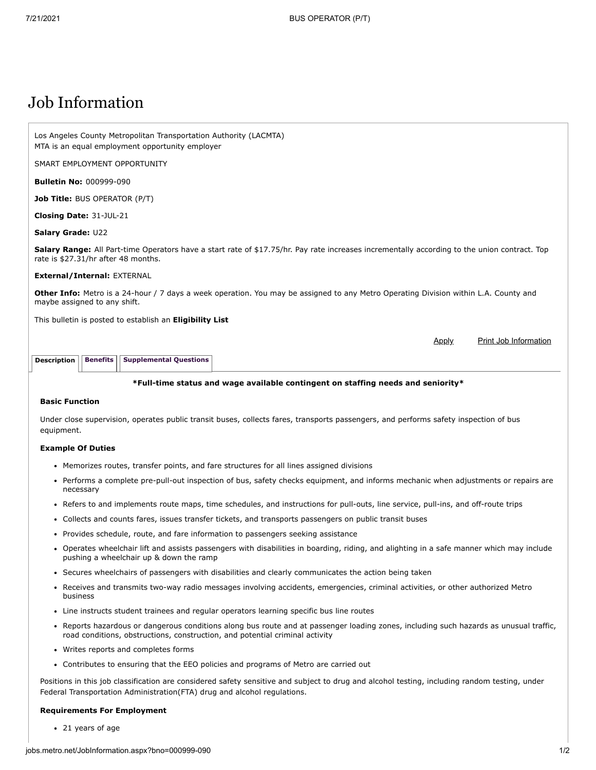# Job Information

Los Angeles County Metropolitan Transportation Authority (LACMTA) MTA is an equal employment opportunity employer

SMART EMPLOYMENT OPPORTUNITY

**Bulletin No:** 000999-090

**Job Title:** BUS OPERATOR (P/T)

**Closing Date:** 31-JUL-21

#### **Salary Grade:** U22

**Salary Range:** All Part-time Operators have a start rate of \$17.75/hr. Pay rate increases incrementally according to the union contract. Top rate is \$27.31/hr after 48 months.

#### **External/Internal:** EXTERNAL

**Other Info:** Metro is a 24-hour / 7 days a week operation. You may be assigned to any Metro Operating Division within L.A. County and maybe assigned to any shift.

This bulletin is posted to establish an **Eligibility List**

Apply Print Job Information

**Description** | [Benefits](http://jobs.metro.net/JobInformation.aspx?tab=benifits) | [Supplemental Questions](http://jobs.metro.net/JobInformation.aspx?tab=sup)

#### **\*Full-time status and wage available contingent on staffing needs and seniority\***

# **Basic Function**

Under close supervision, operates public transit buses, collects fares, transports passengers, and performs safety inspection of bus equipment.

#### **Example Of Duties**

- Memorizes routes, transfer points, and fare structures for all lines assigned divisions
- Performs a complete pre-pull-out inspection of bus, safety checks equipment, and informs mechanic when adjustments or repairs are necessary
- Refers to and implements route maps, time schedules, and instructions for pull-outs, line service, pull-ins, and off-route trips
- Collects and counts fares, issues transfer tickets, and transports passengers on public transit buses
- Provides schedule, route, and fare information to passengers seeking assistance
- Operates wheelchair lift and assists passengers with disabilities in boarding, riding, and alighting in a safe manner which may include pushing a wheelchair up & down the ramp
- Secures wheelchairs of passengers with disabilities and clearly communicates the action being taken
- Receives and transmits two-way radio messages involving accidents, emergencies, criminal activities, or other authorized Metro business
- Line instructs student trainees and regular operators learning specific bus line routes
- Reports hazardous or dangerous conditions along bus route and at passenger loading zones, including such hazards as unusual traffic, road conditions, obstructions, construction, and potential criminal activity
- Writes reports and completes forms
- Contributes to ensuring that the EEO policies and programs of Metro are carried out

Positions in this job classification are considered safety sensitive and subject to drug and alcohol testing, including random testing, under Federal Transportation Administration(FTA) drug and alcohol regulations.

#### **Requirements For Employment**

21 years of age